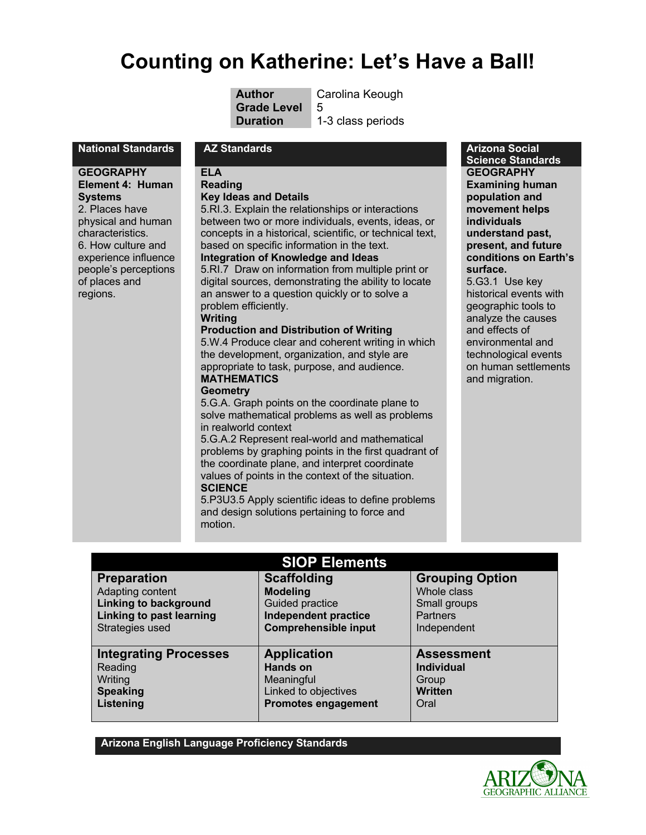# **Counting on Katherine: Let's Have a Ball!**

**Grade Level** 5

**Author** Carolina Keough

**Duration 1-3 class periods** 

### **National Standards AZ Standards Arizona Social**

**GEOGRAPHY Element 4: Human Systems** 2. Places have physical and human characteristics. 6. How culture and experience influence people's perceptions of places and regions.

**ELA** 

# **Reading**

# **Key Ideas and Details**

5.RI.3. Explain the relationships or interactions between two or more individuals, events, ideas, or concepts in a historical, scientific, or technical text, based on specific information in the text. **Integration of Knowledge and Ideas**

5.RI.7 Draw on information from multiple print or digital sources, demonstrating the ability to locate an answer to a question quickly or to solve a problem efficiently.

### **Writing**

### **Production and Distribution of Writing**

5.W.4 Produce clear and coherent writing in which the development, organization, and style are appropriate to task, purpose, and audience. **MATHEMATICS**

# **Geometry**

5.G.A. Graph points on the coordinate plane to solve mathematical problems as well as problems in realworld context

5.G.A.2 Represent real-world and mathematical problems by graphing points in the first quadrant of the coordinate plane, and interpret coordinate values of points in the context of the situation. **SCIENCE** 

5.P3U3.5 Apply scientific ideas to define problems and design solutions pertaining to force and motion.

### **Science Standards GEOGRAPHY Examining human population and movement helps individuals understand past, present, and future conditions on Earth's surface.**

5.G3.1 Use key historical events with geographic tools to analyze the causes and effects of environmental and technological events on human settlements and migration.

| <b>SIOP Elements</b>            |                             |                        |
|---------------------------------|-----------------------------|------------------------|
| <b>Preparation</b>              | <b>Scaffolding</b>          | <b>Grouping Option</b> |
| Adapting content                | <b>Modeling</b>             | Whole class            |
| <b>Linking to background</b>    | Guided practice             | Small groups           |
| <b>Linking to past learning</b> | <b>Independent practice</b> | <b>Partners</b>        |
| Strategies used                 | <b>Comprehensible input</b> | Independent            |
| <b>Integrating Processes</b>    | <b>Application</b>          | <b>Assessment</b>      |
| Reading                         | <b>Hands on</b>             | <b>Individual</b>      |
| Writing                         | Meaningful                  | Group                  |
| <b>Speaking</b>                 | Linked to objectives        | <b>Written</b>         |
| Listening                       | <b>Promotes engagement</b>  | Oral                   |

**Arizona English Language Proficiency Standards**

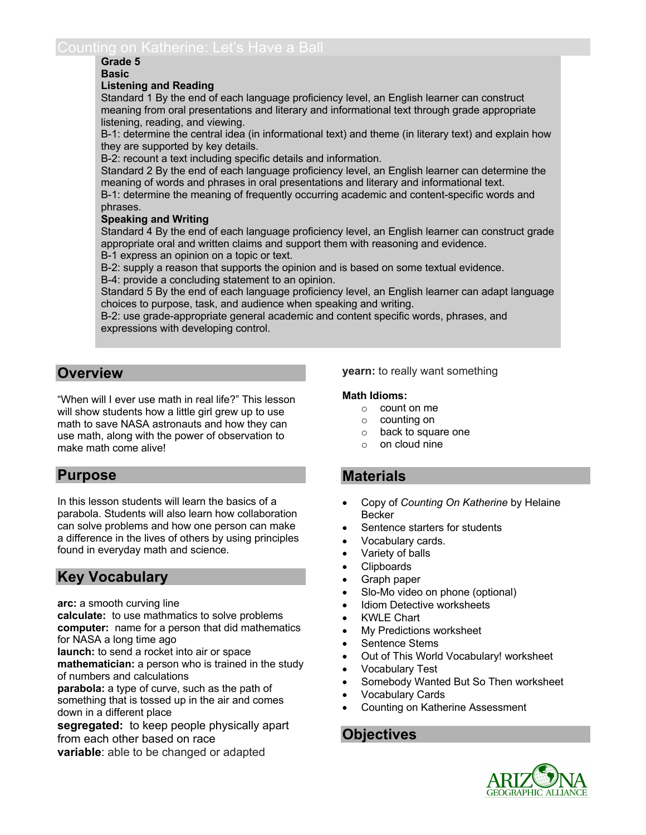# **Grade 5**

### **Basic**

### **Listening and Reading**

Standard 1 By the end of each language proficiency level, an English learner can construct meaning from oral presentations and literary and informational text through grade appropriate listening, reading, and viewing.

B-1: determine the central idea (in informational text) and theme (in literary text) and explain how they are supported by key details.

B-2: recount a text including specific details and information.

Standard 2 By the end of each language proficiency level, an English learner can determine the meaning of words and phrases in oral presentations and literary and informational text.

B-1: determine the meaning of frequently occurring academic and content-specific words and phrases.

### **Speaking and Writing**

Standard 4 By the end of each language proficiency level, an English learner can construct grade appropriate oral and written claims and support them with reasoning and evidence. B-1 express an opinion on a topic or text.

B-2: supply a reason that supports the opinion and is based on some textual evidence. B-4: provide a concluding statement to an opinion.

Standard 5 By the end of each language proficiency level, an English learner can adapt language choices to purpose, task, and audience when speaking and writing.

B-2: use grade-appropriate general academic and content specific words, phrases, and expressions with developing control.

# **Overview**

"When will I ever use math in real life?" This lesson will show students how a little girl grew up to use math to save NASA astronauts and how they can use math, along with the power of observation to make math come alive!

# **Purpose**

In this lesson students will learn the basics of a parabola. Students will also learn how collaboration can solve problems and how one person can make a difference in the lives of others by using principles found in everyday math and science.

# **Key Vocabulary**

**arc:** a smooth curving line

**calculate:** to use mathmatics to solve problems **computer:** name for a person that did mathematics for NASA a long time ago

**launch:** to send a rocket into air or space

**mathematician:** a person who is trained in the study of numbers and calculations

**parabola:** a type of curve, such as the path of something that is tossed up in the air and comes down in a different place

**segregated:** to keep people physically apart from each other based on race

**variable**: able to be changed or adapted

**yearn:** to really want something

### **Math Idioms:**

- o count on me
- o counting on
- o back to square one
- $\circ$  on cloud nine

# **Materials**

- Copy of *Counting On Katherine* by Helaine Becker
- Sentence starters for students
- Vocabulary cards.
- Variety of balls
- Clipboards
- Graph paper
- Slo-Mo video on phone (optional)
- Idiom Detective worksheets
- KWLE Chart
- My Predictions worksheet
- Sentence Stems
- Out of This World Vocabulary! worksheet
- Vocabulary Test
- Somebody Wanted But So Then worksheet
- Vocabulary Cards
- Counting on Katherine Assessment

# **Objectives**

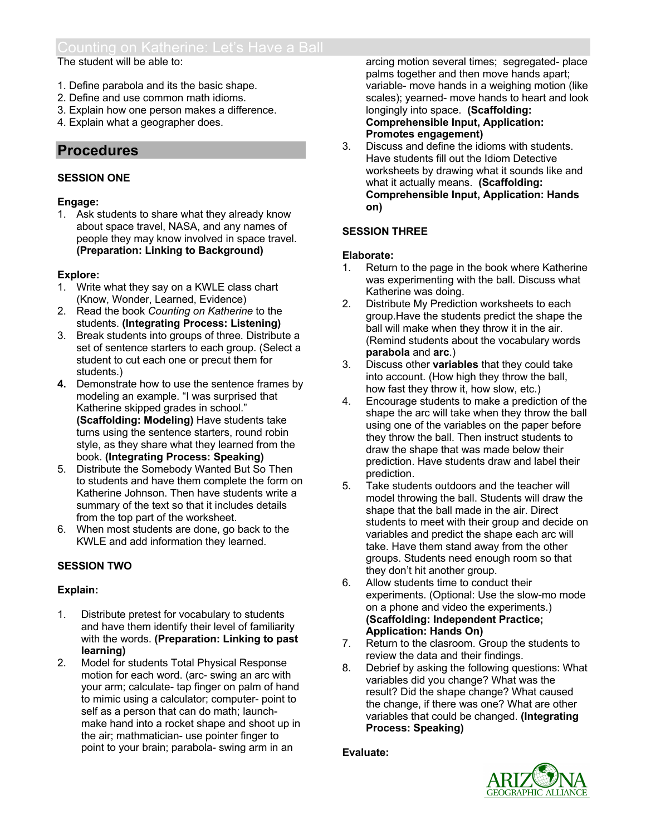### The student will be able to:

- 1. Define parabola and its the basic shape.
- 2. Define and use common math idioms.
- 3. Explain how one person makes a difference.
- 4. Explain what a geographer does.

# **Procedures**

# **SESSION ONE**

# **Engage:**

1. Ask students to share what they already know about space travel, NASA, and any names of people they may know involved in space travel. **(Preparation: Linking to Background)**

# **Explore:**

- 1. Write what they say on a KWLE class chart (Know, Wonder, Learned, Evidence)
- 2. Read the book *Counting on Katherine* to the students. **(Integrating Process: Listening)**
- 3. Break students into groups of three*.* Distribute a set of sentence starters to each group. (Select a student to cut each one or precut them for students.)
- **4.** Demonstrate how to use the sentence frames by modeling an example. "I was surprised that Katherine skipped grades in school." **(Scaffolding: Modeling)** Have students take turns using the sentence starters, round robin style, as they share what they learned from the book. **(Integrating Process: Speaking)**
- 5. Distribute the Somebody Wanted But So Then to students and have them complete the form on Katherine Johnson. Then have students write a summary of the text so that it includes details from the top part of the worksheet.
- 6. When most students are done, go back to the KWLE and add information they learned.

# **SESSION TWO**

# **Explain:**

- 1. Distribute pretest for vocabulary to students and have them identify their level of familiarity with the words. **(Preparation: Linking to past learning)**
- 2. Model for students Total Physical Response motion for each word. (arc- swing an arc with your arm; calculate- tap finger on palm of hand to mimic using a calculator; computer- point to self as a person that can do math; launchmake hand into a rocket shape and shoot up in the air; mathmatician- use pointer finger to point to your brain; parabola- swing arm in an

arcing motion several times; segregated- place palms together and then move hands apart; variable- move hands in a weighing motion (like scales); yearned- move hands to heart and look longingly into space. **(Scaffolding: Comprehensible Input, Application: Promotes engagement)**

3. Discuss and define the idioms with students. Have students fill out the Idiom Detective worksheets by drawing what it sounds like and what it actually means. **(Scaffolding: Comprehensible Input, Application: Hands on)**

# **SESSION THREE**

# **Elaborate:**

- 1. Return to the page in the book where Katherine was experimenting with the ball. Discuss what Katherine was doing.
- 2. Distribute My Prediction worksheets to each group.Have the students predict the shape the ball will make when they throw it in the air. (Remind students about the vocabulary words **parabola** and **arc**.)
- 3. Discuss other **variables** that they could take into account. (How high they throw the ball, how fast they throw it, how slow, etc.)
- 4. Encourage students to make a prediction of the shape the arc will take when they throw the ball using one of the variables on the paper before they throw the ball. Then instruct students to draw the shape that was made below their prediction. Have students draw and label their prediction.
- 5. Take students outdoors and the teacher will model throwing the ball. Students will draw the shape that the ball made in the air. Direct students to meet with their group and decide on variables and predict the shape each arc will take. Have them stand away from the other groups. Students need enough room so that they don't hit another group.
- 6. Allow students time to conduct their experiments. (Optional: Use the slow-mo mode on a phone and video the experiments.) **(Scaffolding: Independent Practice; Application: Hands On)**
- 7. Return to the clasroom. Group the students to review the data and their findings.
- 8. Debrief by asking the following questions: What variables did you change? What was the result? Did the shape change? What caused the change, if there was one? What are other variables that could be changed. **(Integrating Process: Speaking)**

# **Evaluate:**